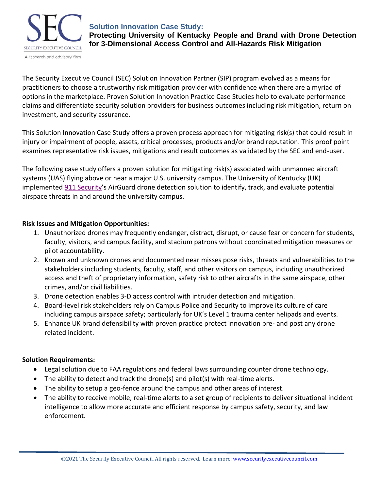

### **Solution Innovation Case Study:**

**Protecting University of Kentucky People and Brand with Drone Detection for 3-Dimensional Access Control and All-Hazards Risk Mitigation**

The Security Executive Council (SEC) Solution Innovation Partner (SIP) program evolved as a means for practitioners to choose a trustworthy risk mitigation provider with confidence when there are a myriad of options in the marketplace. Proven Solution Innovation Practice Case Studies help to evaluate performance claims and differentiate security solution providers for business outcomes including risk mitigation, return on investment, and security assurance.

This Solution Innovation Case Study offers a proven process approach for mitigating risk(s) that could result in injury or impairment of people, assets, critical processes, products and/or brand reputation. This proof point examines representative risk issues, mitigations and result outcomes as validated by the SEC and end-user.

The following case study offers a proven solution for mitigating risk(s) associated with unmanned aircraft systems (UAS) flying above or near a major U.S. university campus. The University of Kentucky (UK) implemented [911 Security](https://www.911security.com/)'s AirGuard drone detection solution to identify, track, and evaluate potential airspace threats in and around the university campus.

### **Risk Issues and Mitigation Opportunities:**

- 1. Unauthorized drones may frequently endanger, distract, disrupt, or cause fear or concern for students, faculty, visitors, and campus facility, and stadium patrons without coordinated mitigation measures or pilot accountability.
- 2. Known and unknown drones and documented near misses pose risks, threats and vulnerabilities to the stakeholders including students, faculty, staff, and other visitors on campus, including unauthorized access and theft of proprietary information, safety risk to other aircrafts in the same airspace, other crimes, and/or civil liabilities.
- 3. Drone detection enables 3-D access control with intruder detection and mitigation.
- 4. Board-level risk stakeholders rely on Campus Police and Security to improve its culture of care including campus airspace safety; particularly for UK's Level 1 trauma center helipads and events.
- 5. Enhance UK brand defensibility with proven practice protect innovation pre- and post any drone related incident.

## **Solution Requirements:**

- Legal solution due to FAA regulations and federal laws surrounding counter drone technology.
- The ability to detect and track the drone(s) and pilot(s) with real-time alerts.
- The ability to setup a geo-fence around the campus and other areas of interest.
- The ability to receive mobile, real-time alerts to a set group of recipients to deliver situational incident intelligence to allow more accurate and efficient response by campus safety, security, and law enforcement.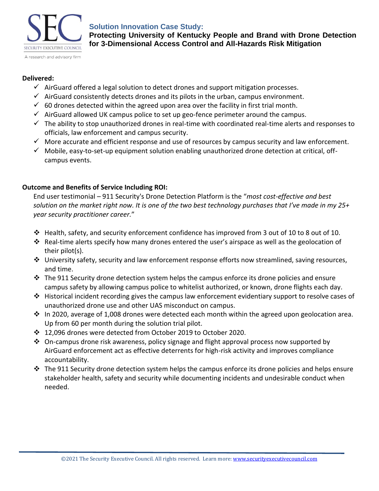

## **Solution Innovation Case Study:**

**Protecting University of Kentucky People and Brand with Drone Detection** 

**for 3-Dimensional Access Control and All-Hazards Risk Mitigation**

#### **Delivered:**

- $\checkmark$  AirGuard offered a legal solution to detect drones and support mitigation processes.
- $\checkmark$  AirGuard consistently detects drones and its pilots in the urban, campus environment.
- $\checkmark$  60 drones detected within the agreed upon area over the facility in first trial month.
- $\checkmark$  AirGuard allowed UK campus police to set up geo-fence perimeter around the campus.
- $\checkmark$  The ability to stop unauthorized drones in real-time with coordinated real-time alerts and responses to officials, law enforcement and campus security.
- $\checkmark$  More accurate and efficient response and use of resources by campus security and law enforcement.
- $\checkmark$  Mobile, easy-to-set-up equipment solution enabling unauthorized drone detection at critical, offcampus events.

## **Outcome and Benefits of Service Including ROI:**

End user testimonial – 911 Security's Drone Detection Platform is the "*most cost-effective and best solution on the market right now. It is one of the two best technology purchases that I've made in my 25+ year security practitioner career.*"

- ❖ Health, safety, and security enforcement confidence has improved from 3 out of 10 to 8 out of 10.
- ❖ Real-time alerts specify how many drones entered the user's airspace as well as the geolocation of their pilot(s).
- ❖ University safety, security and law enforcement response efforts now streamlined, saving resources, and time.
- $\div$  The 911 Security drone detection system helps the campus enforce its drone policies and ensure campus safety by allowing campus police to whitelist authorized, or known, drone flights each day.
- ❖ Historical incident recording gives the campus law enforcement evidentiary support to resolve cases of unauthorized drone use and other UAS misconduct on campus.
- ❖ In 2020, average of 1,008 drones were detected each month within the agreed upon geolocation area. Up from 60 per month during the solution trial pilot.
- ❖ 12,096 drones were detected from October 2019 to October 2020.
- $\div$  On-campus drone risk awareness, policy signage and flight approval process now supported by AirGuard enforcement act as effective deterrents for high-risk activity and improves compliance accountability.
- $\div$  The 911 Security drone detection system helps the campus enforce its drone policies and helps ensure stakeholder health, safety and security while documenting incidents and undesirable conduct when needed.